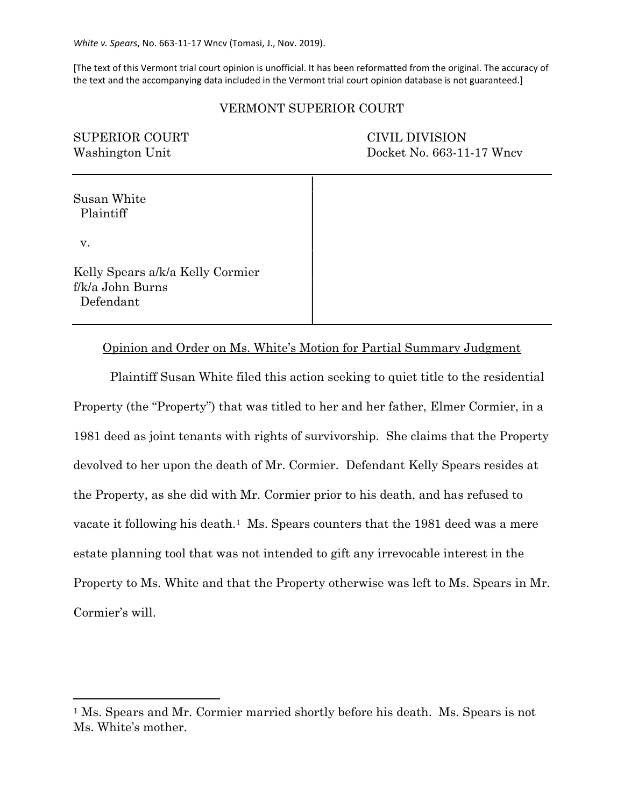[The text of this Vermont trial court opinion is unofficial. It has been reformatted from the original. The accuracy of the text and the accompanying data included in the Vermont trial court opinion database is not guaranteed.]

## VERMONT SUPERIOR COURT

| <b>SUPERIOR COURT</b><br>Washington Unit                          | <b>CIVIL DIVISION</b><br>Docket No. 663-11-17 Wncv |
|-------------------------------------------------------------------|----------------------------------------------------|
| Susan White<br>Plaintiff<br>v.                                    |                                                    |
| Kelly Spears a/k/a Kelly Cormier<br>f/k/a John Burns<br>Defendant |                                                    |

Opinion and Order on Ms. White's Motion for Partial Summary Judgment

Plaintiff Susan White filed this action seeking to quiet title to the residential Property (the "Property") that was titled to her and her father, Elmer Cormier, in a 1981 deed as joint tenants with rights of survivorship. She claims that the Property devolved to her upon the death of Mr. Cormier. Defendant Kelly Spears resides at the Property, as she did with Mr. Cormier prior to his death, and has refused to vacate it following his death.<sup>1</sup> Ms. Spears counters that the 1981 deed was a mere estate planning tool that was not intended to gift any irrevocable interest in the Property to Ms. White and that the Property otherwise was left to Ms. Spears in Mr. Cormier's will.

<sup>1</sup> Ms. Spears and Mr. Cormier married shortly before his death. Ms. Spears is not Ms. White's mother.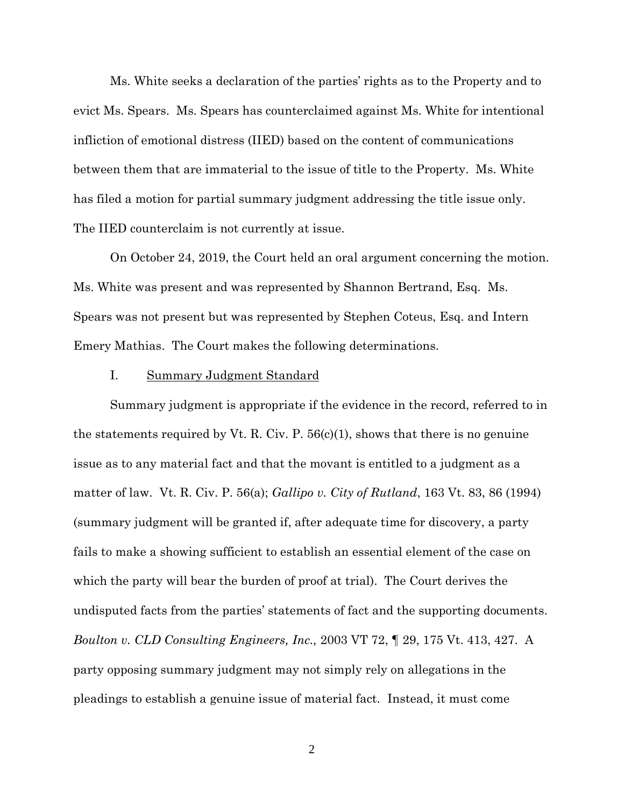Ms. White seeks a declaration of the parties' rights as to the Property and to evict Ms. Spears. Ms. Spears has counterclaimed against Ms. White for intentional infliction of emotional distress (IIED) based on the content of communications between them that are immaterial to the issue of title to the Property. Ms. White has filed a motion for partial summary judgment addressing the title issue only. The IIED counterclaim is not currently at issue.

On October 24, 2019, the Court held an oral argument concerning the motion. Ms. White was present and was represented by Shannon Bertrand, Esq. Ms. Spears was not present but was represented by Stephen Coteus, Esq. and Intern Emery Mathias. The Court makes the following determinations.

### I. Summary Judgment Standard

Summary judgment is appropriate if the evidence in the record, referred to in the statements required by Vt. R. Civ. P.  $56(c)(1)$ , shows that there is no genuine issue as to any material fact and that the movant is entitled to a judgment as a matter of law. Vt. R. Civ. P. 56(a); *Gallipo v. City of Rutland*, 163 Vt. 83, 86 (1994) (summary judgment will be granted if, after adequate time for discovery, a party fails to make a showing sufficient to establish an essential element of the case on which the party will bear the burden of proof at trial). The Court derives the undisputed facts from the parties' statements of fact and the supporting documents. *Boulton v. CLD Consulting Engineers, Inc.,* 2003 VT 72, ¶ 29, 175 Vt. 413, 427. A party opposing summary judgment may not simply rely on allegations in the pleadings to establish a genuine issue of material fact. Instead, it must come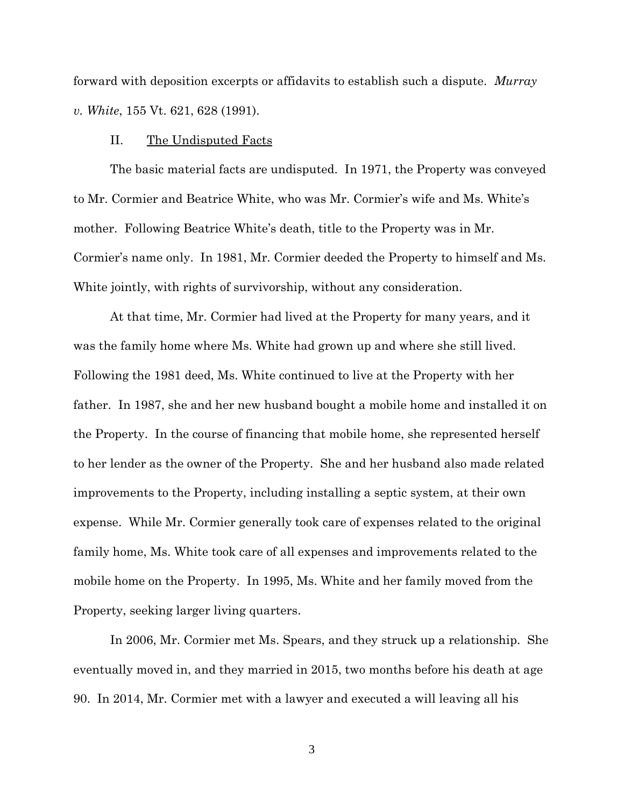forward with deposition excerpts or affidavits to establish such a dispute. *Murray v. White*, 155 Vt. 621, 628 (1991).

### II. The Undisputed Facts

The basic material facts are undisputed. In 1971, the Property was conveyed to Mr. Cormier and Beatrice White, who was Mr. Cormier's wife and Ms. White's mother. Following Beatrice White's death, title to the Property was in Mr. Cormier's name only. In 1981, Mr. Cormier deeded the Property to himself and Ms. White jointly, with rights of survivorship, without any consideration.

At that time, Mr. Cormier had lived at the Property for many years, and it was the family home where Ms. White had grown up and where she still lived. Following the 1981 deed, Ms. White continued to live at the Property with her father. In 1987, she and her new husband bought a mobile home and installed it on the Property. In the course of financing that mobile home, she represented herself to her lender as the owner of the Property. She and her husband also made related improvements to the Property, including installing a septic system, at their own expense. While Mr. Cormier generally took care of expenses related to the original family home, Ms. White took care of all expenses and improvements related to the mobile home on the Property. In 1995, Ms. White and her family moved from the Property, seeking larger living quarters.

In 2006, Mr. Cormier met Ms. Spears, and they struck up a relationship. She eventually moved in, and they married in 2015, two months before his death at age 90. In 2014, Mr. Cormier met with a lawyer and executed a will leaving all his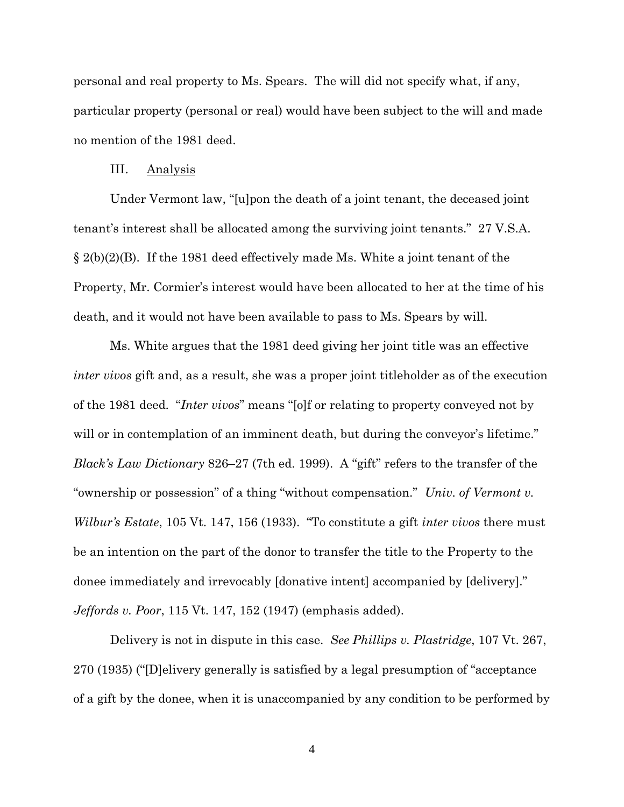personal and real property to Ms. Spears. The will did not specify what, if any, particular property (personal or real) would have been subject to the will and made no mention of the 1981 deed.

#### III. Analysis

Under Vermont law, "[u]pon the death of a joint tenant, the deceased joint tenant's interest shall be allocated among the surviving joint tenants." 27 V.S.A. § 2(b)(2)(B). If the 1981 deed effectively made Ms. White a joint tenant of the Property, Mr. Cormier's interest would have been allocated to her at the time of his death, and it would not have been available to pass to Ms. Spears by will.

Ms. White argues that the 1981 deed giving her joint title was an effective *inter vivos* gift and, as a result, she was a proper joint titleholder as of the execution of the 1981 deed. "*Inter vivos*" means "[o]f or relating to property conveyed not by will or in contemplation of an imminent death, but during the conveyor's lifetime." *Black's Law Dictionary* 826–27 (7th ed. 1999). A "gift" refers to the transfer of the "ownership or possession" of a thing "without compensation." *Univ. of Vermont v. Wilbur's Estate*, 105 Vt. 147, 156 (1933). "To constitute a gift *inter vivos* there must be an intention on the part of the donor to transfer the title to the Property to the donee immediately and irrevocably [donative intent] accompanied by [delivery]." *Jeffords v. Poor*, 115 Vt. 147, 152 (1947) (emphasis added).

Delivery is not in dispute in this case. *See Phillips v. Plastridge*, 107 Vt. 267, 270 (1935) ("[D]elivery generally is satisfied by a legal presumption of "acceptance of a gift by the donee, when it is unaccompanied by any condition to be performed by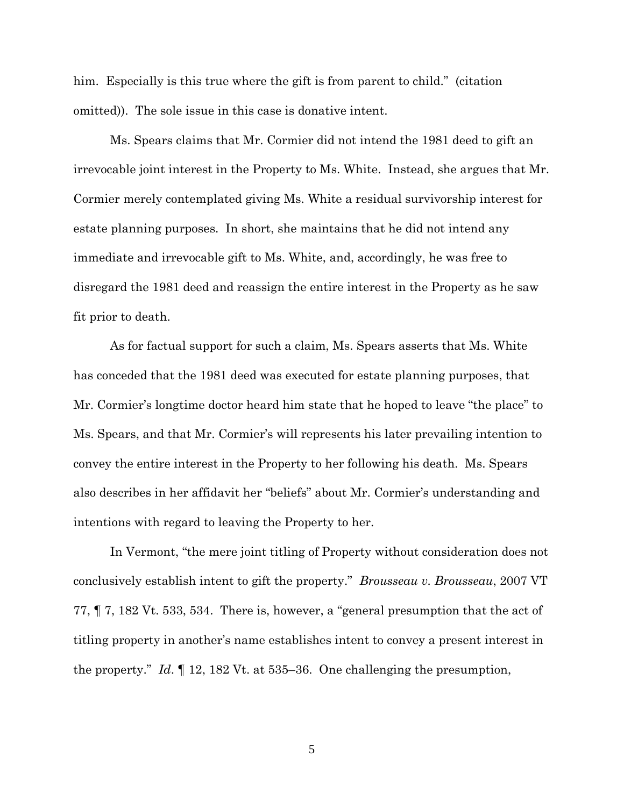him. Especially is this true where the gift is from parent to child." (citation omitted)). The sole issue in this case is donative intent.

Ms. Spears claims that Mr. Cormier did not intend the 1981 deed to gift an irrevocable joint interest in the Property to Ms. White. Instead, she argues that Mr. Cormier merely contemplated giving Ms. White a residual survivorship interest for estate planning purposes. In short, she maintains that he did not intend any immediate and irrevocable gift to Ms. White, and, accordingly, he was free to disregard the 1981 deed and reassign the entire interest in the Property as he saw fit prior to death.

As for factual support for such a claim, Ms. Spears asserts that Ms. White has conceded that the 1981 deed was executed for estate planning purposes, that Mr. Cormier's longtime doctor heard him state that he hoped to leave "the place" to Ms. Spears, and that Mr. Cormier's will represents his later prevailing intention to convey the entire interest in the Property to her following his death. Ms. Spears also describes in her affidavit her "beliefs" about Mr. Cormier's understanding and intentions with regard to leaving the Property to her.

In Vermont, "the mere joint titling of Property without consideration does not conclusively establish intent to gift the property." *Brousseau v. Brousseau*, 2007 VT 77, ¶ 7, 182 Vt. 533, 534. There is, however, a "general presumption that the act of titling property in another's name establishes intent to convey a present interest in the property." *Id*. ¶ 12, 182 Vt. at 535–36. One challenging the presumption,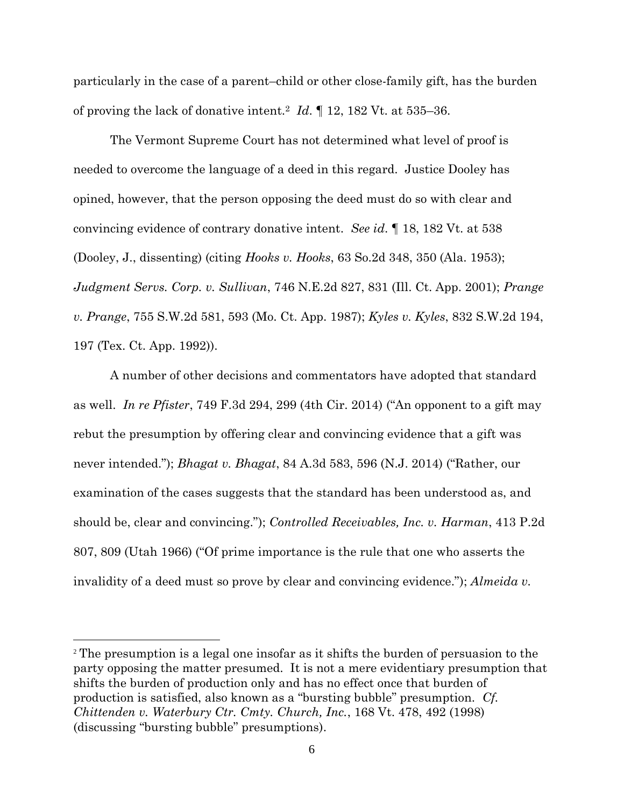particularly in the case of a parent–child or other close-family gift, has the burden of proving the lack of donative intent.<sup>2</sup> *Id*. ¶ 12, 182 Vt. at 535–36.

The Vermont Supreme Court has not determined what level of proof is needed to overcome the language of a deed in this regard. Justice Dooley has opined, however, that the person opposing the deed must do so with clear and convincing evidence of contrary donative intent. *See id*. ¶ 18, 182 Vt. at 538 (Dooley, J., dissenting) (citing *Hooks v. Hooks*, 63 So.2d 348, 350 (Ala. 1953); *Judgment Servs. Corp. v. Sullivan*, 746 N.E.2d 827, 831 (Ill. Ct. App. 2001); *Prange v. Prange*, 755 S.W.2d 581, 593 (Mo. Ct. App. 1987); *Kyles v. Kyles*, 832 S.W.2d 194, 197 (Tex. Ct. App. 1992)).

A number of other decisions and commentators have adopted that standard as well. *In re Pfister*, 749 F.3d 294, 299 (4th Cir. 2014) ("An opponent to a gift may rebut the presumption by offering clear and convincing evidence that a gift was never intended."); *Bhagat v. Bhagat*, 84 A.3d 583, 596 (N.J. 2014) ("Rather, our examination of the cases suggests that the standard has been understood as, and should be, clear and convincing."); *Controlled Receivables, Inc. v. Harman*, 413 P.2d 807, 809 (Utah 1966) ("Of prime importance is the rule that one who asserts the invalidity of a deed must so prove by clear and convincing evidence."); *Almeida v.* 

<sup>2</sup> The presumption is a legal one insofar as it shifts the burden of persuasion to the party opposing the matter presumed. It is not a mere evidentiary presumption that shifts the burden of production only and has no effect once that burden of production is satisfied, also known as a "bursting bubble" presumption. *Cf. Chittenden v. Waterbury Ctr. Cmty. Church, Inc.*, 168 Vt. 478, 492 (1998) (discussing "bursting bubble" presumptions).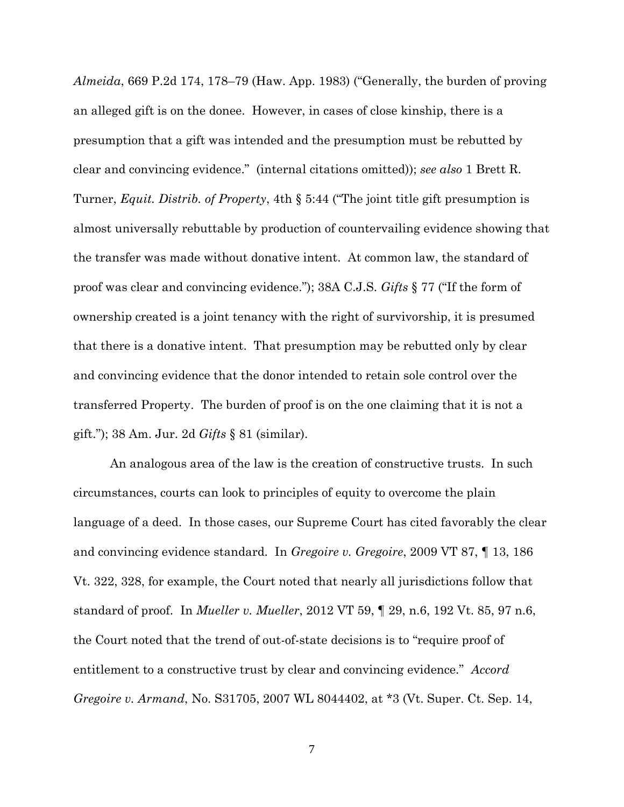*Almeida*, 669 P.2d 174, 178–79 (Haw. App. 1983) ("Generally, the burden of proving an alleged gift is on the donee. However, in cases of close kinship, there is a presumption that a gift was intended and the presumption must be rebutted by clear and convincing evidence." (internal citations omitted)); *see also* 1 Brett R. Turner, *Equit. Distrib. of Property*, 4th § 5:44 ("The joint title gift presumption is almost universally rebuttable by production of countervailing evidence showing that the transfer was made without donative intent. At common law, the standard of proof was clear and convincing evidence."); 38A C.J.S. *Gifts* § 77 ("If the form of ownership created is a joint tenancy with the right of survivorship, it is presumed that there is a donative intent. That presumption may be rebutted only by clear and convincing evidence that the donor intended to retain sole control over the transferred Property. The burden of proof is on the one claiming that it is not a gift."); 38 Am. Jur. 2d *Gifts* § 81 (similar).

An analogous area of the law is the creation of constructive trusts. In such circumstances, courts can look to principles of equity to overcome the plain language of a deed. In those cases, our Supreme Court has cited favorably the clear and convincing evidence standard. In *Gregoire v. Gregoire*, 2009 VT 87, ¶ 13, 186 Vt. 322, 328, for example, the Court noted that nearly all jurisdictions follow that standard of proof. In *Mueller v. Mueller*, 2012 VT 59, ¶ 29, n.6, 192 Vt. 85, 97 n.6, the Court noted that the trend of out-of-state decisions is to "require proof of entitlement to a constructive trust by clear and convincing evidence." *Accord Gregoire v. Armand*, No. S31705, 2007 WL 8044402, at \*3 (Vt. Super. Ct. Sep. 14,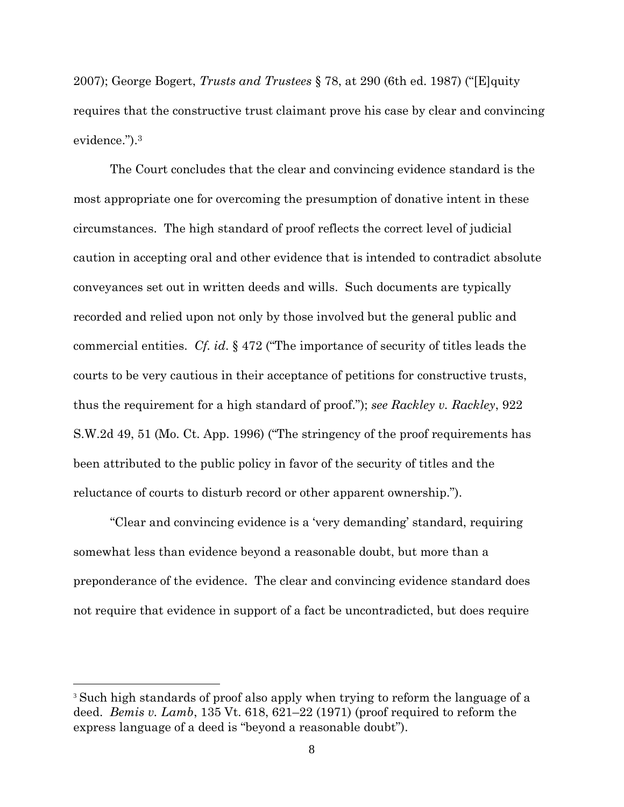2007); George Bogert, *Trusts and Trustees* § 78, at 290 (6th ed. 1987) ("[E]quity requires that the constructive trust claimant prove his case by clear and convincing evidence.").<sup>3</sup>

The Court concludes that the clear and convincing evidence standard is the most appropriate one for overcoming the presumption of donative intent in these circumstances. The high standard of proof reflects the correct level of judicial caution in accepting oral and other evidence that is intended to contradict absolute conveyances set out in written deeds and wills. Such documents are typically recorded and relied upon not only by those involved but the general public and commercial entities. *Cf. id*. § 472 ("The importance of security of titles leads the courts to be very cautious in their acceptance of petitions for constructive trusts, thus the requirement for a high standard of proof."); *see Rackley v. Rackley*, 922 S.W.2d 49, 51 (Mo. Ct. App. 1996) ("The stringency of the proof requirements has been attributed to the public policy in favor of the security of titles and the reluctance of courts to disturb record or other apparent ownership.").

"Clear and convincing evidence is a 'very demanding' standard, requiring somewhat less than evidence beyond a reasonable doubt, but more than a preponderance of the evidence. The clear and convincing evidence standard does not require that evidence in support of a fact be uncontradicted, but does require

<sup>&</sup>lt;sup>3</sup> Such high standards of proof also apply when trying to reform the language of a deed. *Bemis v. Lamb*, 135 Vt. 618, 621–22 (1971) (proof required to reform the express language of a deed is "beyond a reasonable doubt").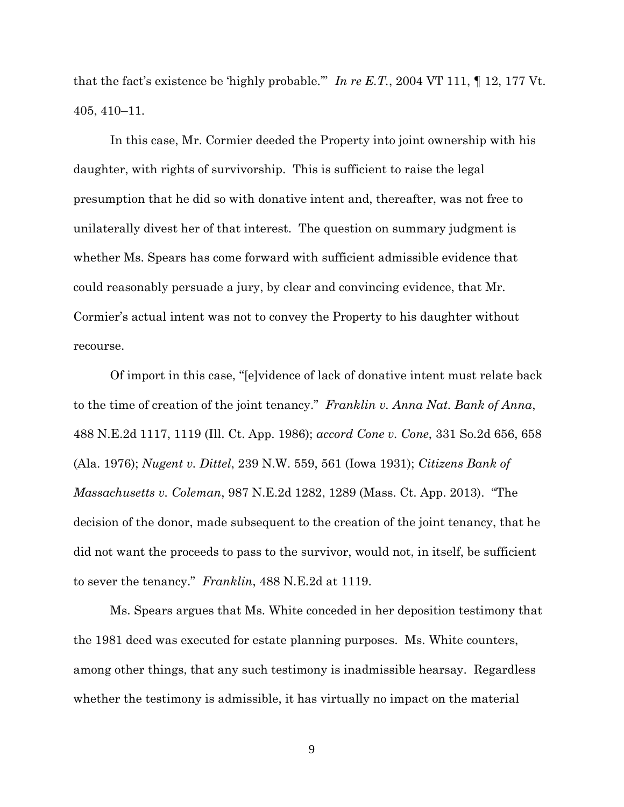that the fact's existence be 'highly probable.'" *In re E.T.*, 2004 VT 111, ¶ 12, 177 Vt. 405, 410–11.

In this case, Mr. Cormier deeded the Property into joint ownership with his daughter, with rights of survivorship. This is sufficient to raise the legal presumption that he did so with donative intent and, thereafter, was not free to unilaterally divest her of that interest. The question on summary judgment is whether Ms. Spears has come forward with sufficient admissible evidence that could reasonably persuade a jury, by clear and convincing evidence, that Mr. Cormier's actual intent was not to convey the Property to his daughter without recourse.

Of import in this case, "[e]vidence of lack of donative intent must relate back to the time of creation of the joint tenancy." *Franklin v. Anna Nat. Bank of Anna*, 488 N.E.2d 1117, 1119 (Ill. Ct. App. 1986); *accord Cone v. Cone*, 331 So.2d 656, 658 (Ala. 1976); *Nugent v. Dittel*, 239 N.W. 559, 561 (Iowa 1931); *Citizens Bank of Massachusetts v. Coleman*, 987 N.E.2d 1282, 1289 (Mass. Ct. App. 2013). "The decision of the donor, made subsequent to the creation of the joint tenancy, that he did not want the proceeds to pass to the survivor, would not, in itself, be sufficient to sever the tenancy." *Franklin*, 488 N.E.2d at 1119.

Ms. Spears argues that Ms. White conceded in her deposition testimony that the 1981 deed was executed for estate planning purposes. Ms. White counters, among other things, that any such testimony is inadmissible hearsay. Regardless whether the testimony is admissible, it has virtually no impact on the material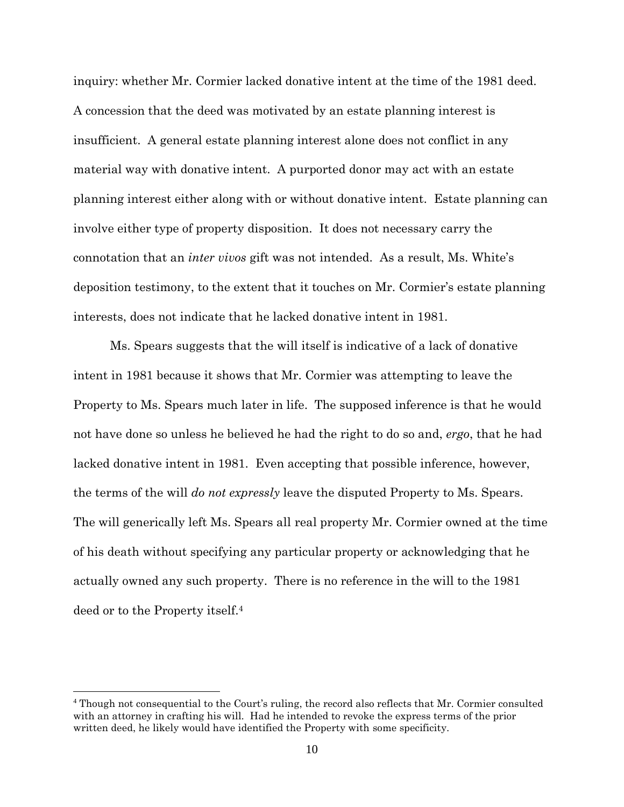inquiry: whether Mr. Cormier lacked donative intent at the time of the 1981 deed. A concession that the deed was motivated by an estate planning interest is insufficient. A general estate planning interest alone does not conflict in any material way with donative intent. A purported donor may act with an estate planning interest either along with or without donative intent. Estate planning can involve either type of property disposition. It does not necessary carry the connotation that an *inter vivos* gift was not intended. As a result, Ms. White's deposition testimony, to the extent that it touches on Mr. Cormier's estate planning interests, does not indicate that he lacked donative intent in 1981.

Ms. Spears suggests that the will itself is indicative of a lack of donative intent in 1981 because it shows that Mr. Cormier was attempting to leave the Property to Ms. Spears much later in life. The supposed inference is that he would not have done so unless he believed he had the right to do so and, *ergo*, that he had lacked donative intent in 1981. Even accepting that possible inference, however, the terms of the will *do not expressly* leave the disputed Property to Ms. Spears. The will generically left Ms. Spears all real property Mr. Cormier owned at the time of his death without specifying any particular property or acknowledging that he actually owned any such property. There is no reference in the will to the 1981 deed or to the Property itself.<sup>4</sup>

<sup>4</sup> Though not consequential to the Court's ruling, the record also reflects that Mr. Cormier consulted with an attorney in crafting his will. Had he intended to revoke the express terms of the prior written deed, he likely would have identified the Property with some specificity.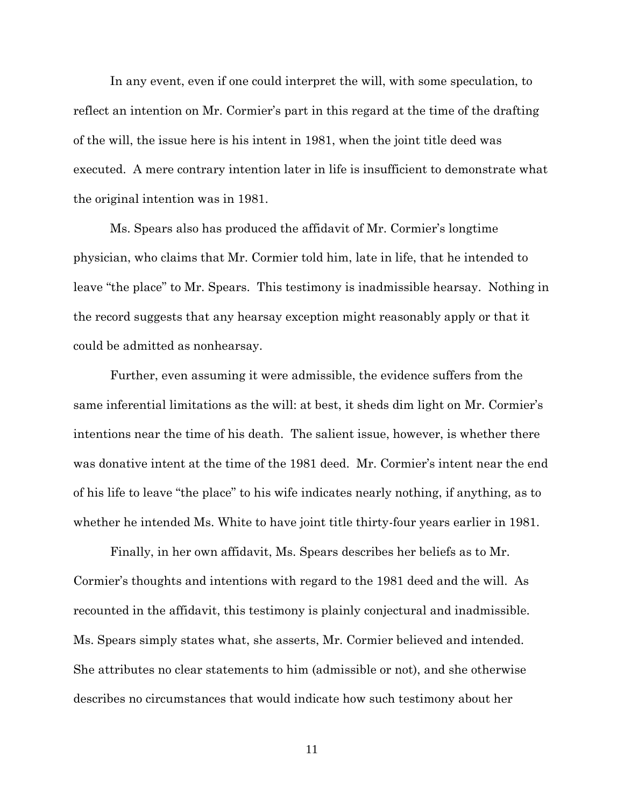In any event, even if one could interpret the will, with some speculation, to reflect an intention on Mr. Cormier's part in this regard at the time of the drafting of the will, the issue here is his intent in 1981, when the joint title deed was executed. A mere contrary intention later in life is insufficient to demonstrate what the original intention was in 1981.

Ms. Spears also has produced the affidavit of Mr. Cormier's longtime physician, who claims that Mr. Cormier told him, late in life, that he intended to leave "the place" to Mr. Spears. This testimony is inadmissible hearsay. Nothing in the record suggests that any hearsay exception might reasonably apply or that it could be admitted as nonhearsay.

Further, even assuming it were admissible, the evidence suffers from the same inferential limitations as the will: at best, it sheds dim light on Mr. Cormier's intentions near the time of his death. The salient issue, however, is whether there was donative intent at the time of the 1981 deed. Mr. Cormier's intent near the end of his life to leave "the place" to his wife indicates nearly nothing, if anything, as to whether he intended Ms. White to have joint title thirty-four years earlier in 1981.

Finally, in her own affidavit, Ms. Spears describes her beliefs as to Mr. Cormier's thoughts and intentions with regard to the 1981 deed and the will. As recounted in the affidavit, this testimony is plainly conjectural and inadmissible. Ms. Spears simply states what, she asserts, Mr. Cormier believed and intended. She attributes no clear statements to him (admissible or not), and she otherwise describes no circumstances that would indicate how such testimony about her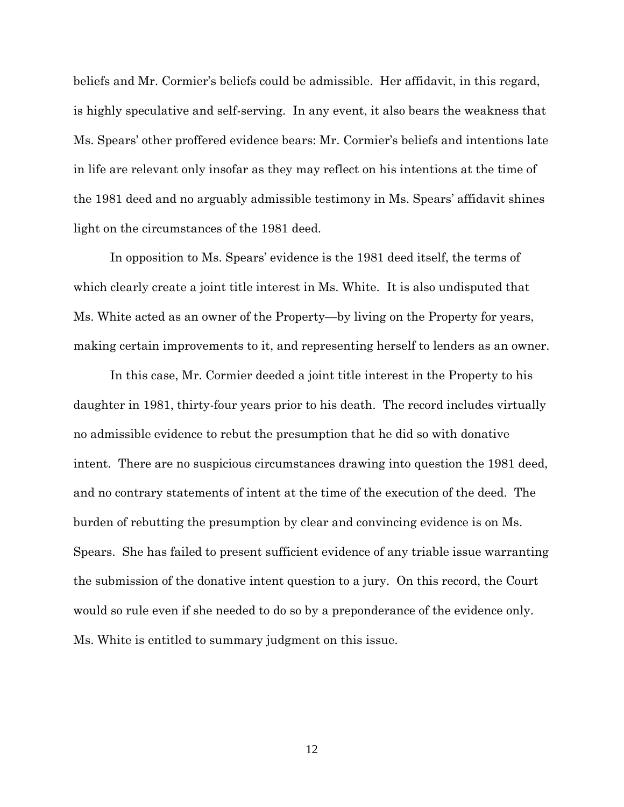beliefs and Mr. Cormier's beliefs could be admissible. Her affidavit, in this regard, is highly speculative and self-serving. In any event, it also bears the weakness that Ms. Spears' other proffered evidence bears: Mr. Cormier's beliefs and intentions late in life are relevant only insofar as they may reflect on his intentions at the time of the 1981 deed and no arguably admissible testimony in Ms. Spears' affidavit shines light on the circumstances of the 1981 deed.

In opposition to Ms. Spears' evidence is the 1981 deed itself, the terms of which clearly create a joint title interest in Ms. White. It is also undisputed that Ms. White acted as an owner of the Property—by living on the Property for years, making certain improvements to it, and representing herself to lenders as an owner.

In this case, Mr. Cormier deeded a joint title interest in the Property to his daughter in 1981, thirty-four years prior to his death. The record includes virtually no admissible evidence to rebut the presumption that he did so with donative intent. There are no suspicious circumstances drawing into question the 1981 deed, and no contrary statements of intent at the time of the execution of the deed. The burden of rebutting the presumption by clear and convincing evidence is on Ms. Spears. She has failed to present sufficient evidence of any triable issue warranting the submission of the donative intent question to a jury. On this record, the Court would so rule even if she needed to do so by a preponderance of the evidence only. Ms. White is entitled to summary judgment on this issue.